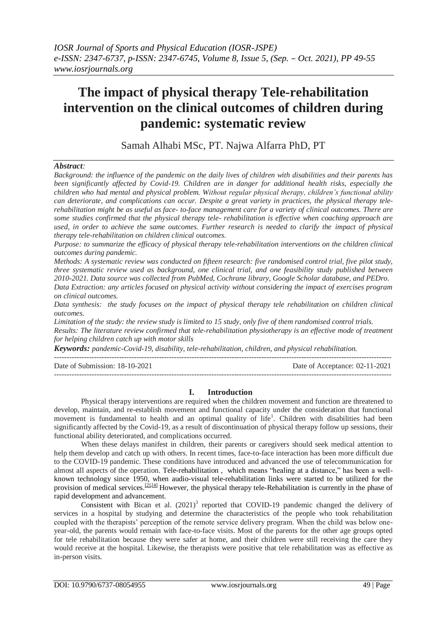# **The impact of physical therapy Tele-rehabilitation intervention on the clinical outcomes of children during pandemic: systematic review**

Samah Alhabi MSc, PT. Najwa Alfarra PhD, PT

## *Abstract:*

*Background: the influence of the pandemic on the daily lives of children with disabilities and their parents has been significantly affected by Covid-19. Children are in danger for additional health risks, especially the children who had mental and physical problem. Without regular physical therapy, children's functional ability can deteriorate, and complications can occur. Despite a great variety in practices, the physical therapy telerehabilitation might be as useful as face- to-face management care for a variety of clinical outcomes. There are some studies confirmed that the physical therapy tele- rehabilitation is effective when coaching approach are used, in order to achieve the same outcomes. Further research is needed to clarify the impact of physical therapy tele-rehabilitation on children clinical outcomes.* 

*Purpose: to summarize the efficacy of physical therapy tele-rehabilitation interventions on the children clinical outcomes during pandemic.*

*Methods: A systematic review was conducted on fifteen research: five randomised control trial, five pilot study, three systematic review used as background, one clinical trial, and one feasibility study published between 2010-2021. Data source was collected from PubMed, Cochrane library, Google Scholar database, and PEDro.* 

*Data Extraction: any articles focused on physical activity without considering the impact of exercises program on clinical outcomes.*

*Data synthesis: the study focuses on the impact of physical therapy tele rehabilitation on children clinical outcomes.*

*Limitation of the study: the review study is limited to 15 study, only five of them randomised control trials. Results: The literature review confirmed that tele-rehabilitation physiotherapy is an effective mode of treatment for helping children catch up with motor skills*

---------------------------------------------------------------------------------------------------------------------------------------

*Keywords: pandemic-Covid-19, disability, tele-rehabilitation, children, and physical rehabilitation.*

---------------------------------------------------------------------------------------------------------------------------------------

Date of Submission: 18-10-2021 Date of Acceptance: 02-11-2021

#### **I. Introduction**

Physical therapy interventions are required when the children movement and function are threatened to develop, maintain, and re-establish movement and functional capacity under the consideration that functional movement is fundamental to health and an optimal quality of life<sup>1</sup>. Children with disabilities had been significantly affected by the Covid-19, as a result of discontinuation of physical therapy follow up sessions, their functional ability deteriorated, and complications occurred.

When these delays manifest in children, their parents or caregivers should seek medical attention to help them develop and catch up with others. In recent times, face-to-face interaction has been more difficult due to the COVID-19 pandemic. These conditions have introduced and advanced the use of telecommunication for almost all aspects of the operation. Tele-rehabilitation , which means "healing at a distance," has been a wellknown technology since 1950, when audio-visual tele-rehabilitation links were started to be utilized for the provision of medical services.<sup>[\[2\],](https://www.pjiap.org/article.asp?issn=0973-6549;year=2021;volume=15;issue=1;spage=5;epage=11;aulast=Wajapey#ref1)[\[4\]](https://www.pjiap.org/article.asp?issn=0973-6549;year=2021;volume=15;issue=1;spage=5;epage=11;aulast=Wajapey#ref2)</sup> However, the physical therapy tele-Rehabilitation is currently in the phase of rapid development and advancement.

Consistent with Bican et al.  $(2021)^3$  reported that COVID-19 pandemic changed the delivery of services in a hospital by studying and determine the characteristics of the people who took rehabilitation coupled with the therapists' perception of the remote service delivery program. When the child was below oneyear-old, the parents would remain with face-to-face visits. Most of the parents for the other age groups opted for tele rehabilitation because they were safer at home, and their children were still receiving the care they would receive at the hospital. Likewise, the therapists were positive that tele rehabilitation was as effective as in-person visits.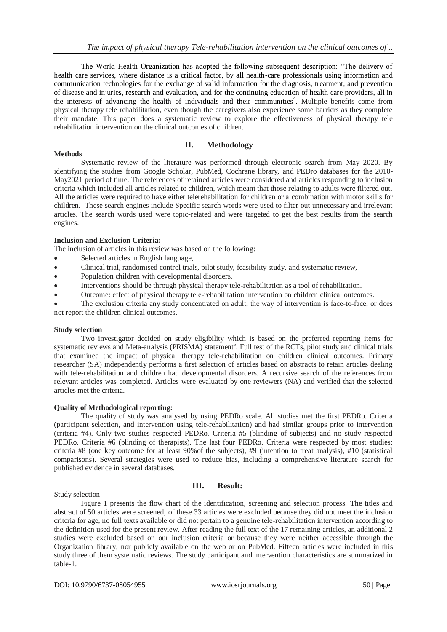The World Health Organization has adopted the following subsequent description: "The delivery of health care services, where distance is a critical factor, by all health-care professionals using information and communication technologies for the exchange of valid information for the diagnosis, treatment, and prevention of disease and injuries, research and evaluation, and for the continuing education of health care providers, all in the interests of advancing the health of individuals and their communities<sup>4</sup>. Multiple benefits come from physical therapy tele rehabilitation, even though the caregivers also experience some barriers as they complete their mandate. This paper does a systematic review to explore the effectiveness of physical therapy tele rehabilitation intervention on the clinical outcomes of children.

## **II. Methodology**

### **Methods**

Systematic review of the literature was performed through electronic search from May 2020. By identifying the studies from Google Scholar, PubMed, Cochrane library, and PEDro databases for the 2010- May2021 period of time. The references of retained articles were considered and articles responding to inclusion criteria which included all articles related to children, which meant that those relating to adults were filtered out. All the articles were required to have either telerehabilitation for children or a combination with motor skills for children. These search engines include Specific search words were used to filter out unnecessary and irrelevant articles. The search words used were topic-related and were targeted to get the best results from the search engines.

## **Inclusion and Exclusion Criteria:**

The inclusion of articles in this review was based on the following:

- Selected articles in English language,
- Clinical trial, randomised control trials, pilot study, feasibility study, and systematic review,
- Population children with developmental disorders,
- Interventions should be through physical therapy tele-rehabilitation as a tool of rehabilitation.
- Outcome: effect of physical therapy tele-rehabilitation intervention on children clinical outcomes.
- The exclusion criteria any study concentrated on adult, the way of intervention is face-to-face, or does not report the children clinical outcomes.

#### **Study selection**

Two investigator decided on study eligibility which is based on the preferred reporting items for systematic reviews and Meta-analysis (PRISMA) statement<sup>5</sup>. Full test of the RCTs, pilot study and clinical trials that examined the impact of physical therapy tele-rehabilitation on children clinical outcomes. Primary researcher (SA) independently performs a first selection of articles based on abstracts to retain articles dealing with tele-rehabilitation and children had developmental disorders. A recursive search of the references from relevant articles was completed. Articles were evaluated by one reviewers (NA) and verified that the selected articles met the criteria.

#### **Quality of Methodological reporting:**

The quality of study was analysed by using PEDRo scale. All studies met the first PEDRo. Criteria (participant selection, and intervention using tele-rehabilitation) and had similar groups prior to intervention (criteria #4). Only two studies respected PEDRo. Criteria #5 (blinding of subjects) and no study respected PEDRo. Criteria #6 (blinding of therapists). The last four PEDRo. Criteria were respected by most studies: criteria #8 (one key outcome for at least 90%of the subjects), #9 (intention to treat analysis), #10 (statistical comparisons). Several strategies were used to reduce bias, including a comprehensive literature search for published evidence in several databases.

#### Study selection

## **III. Result:**

Figure 1 presents the flow chart of the identification, screening and selection process. The titles and abstract of 50 articles were screened; of these 33 articles were excluded because they did not meet the inclusion criteria for age, no full texts available or did not pertain to a genuine tele-rehabilitation intervention according to the definition used for the present review. After reading the full text of the 17 remaining articles, an additional 2 studies were excluded based on our inclusion criteria or because they were neither accessible through the Organization library, nor publicly available on the web or on PubMed. Fifteen articles were included in this study three of them systematic reviews. The study participant and intervention characteristics are summarized in table-1.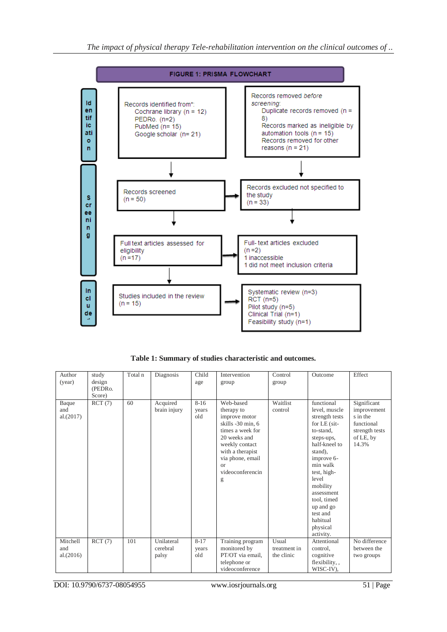

**Table 1: Summary of studies characteristic and outcomes.**

| Author<br>(year)             | study<br>design<br>(PEDRo.<br>Score) | Total n | Diagnosis                       | Child<br>age             | Intervention<br>group                                                                                                                                                                             | Control<br>group                    | Outcome                                                                                                                                                                                                                                                                         | Effect                                                                                       |
|------------------------------|--------------------------------------|---------|---------------------------------|--------------------------|---------------------------------------------------------------------------------------------------------------------------------------------------------------------------------------------------|-------------------------------------|---------------------------------------------------------------------------------------------------------------------------------------------------------------------------------------------------------------------------------------------------------------------------------|----------------------------------------------------------------------------------------------|
| Baque<br>and<br>al.(2017)    | RCT(7)                               | 60      | Acquired<br>brain injury        | $8 - 16$<br>years<br>old | Web-based<br>therapy to<br>improve motor<br>skills -30 min, 6<br>times a week for<br>20 weeks and<br>weekly contact<br>with a therapist<br>via phone, email<br><b>or</b><br>videoconferencin<br>g | Waitlist<br>control                 | functional<br>level, muscle<br>strength tests<br>for $LE$ (sit-<br>to-stand.<br>steps-ups,<br>half-kneel to<br>stand),<br>improve 6-<br>min walk<br>test, high-<br>level<br>mobility<br>assessment<br>tool, timed<br>up and go<br>test and<br>habitual<br>physical<br>activity. | Significant<br>improvement<br>s in the<br>functional<br>strength tests<br>of LE, by<br>14.3% |
| Mitchell<br>and<br>al.(2016) | RCT(7)                               | 101     | Unilateral<br>cerebral<br>palsy | $8 - 17$<br>years<br>old | Training program<br>monitored by<br>PT/OT via email,<br>telephone or<br>videoconference                                                                                                           | Usual<br>treatment in<br>the clinic | Attentional<br>control,<br>cognitive<br>flexibility,,<br>WISC-IV),                                                                                                                                                                                                              | No difference<br>between the<br>two groups                                                   |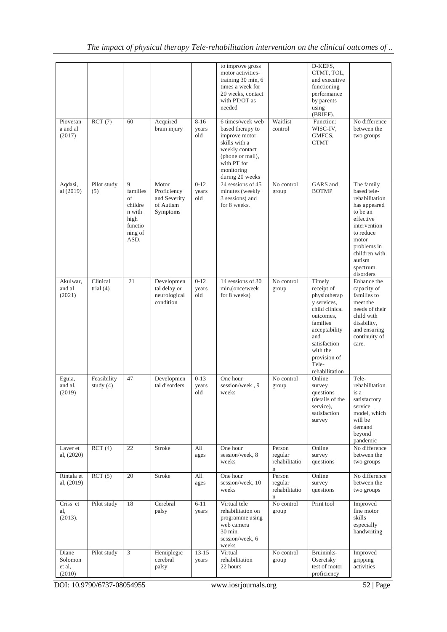| Piovesan                             | RCT(7)                     | 60                                                                             | Acquired                                                      | $8 - 16$                 | to improve gross<br>motor activities-<br>training 30 min, 6<br>times a week for<br>20 weeks, contact<br>with PT/OT as<br>needed<br>6 times/week web | Waitlist                                          | D-KEFS,<br>CTMT, TOL,<br>and executive<br>functioning<br>performance<br>by parents<br>using<br>(BRIEF).<br>Function:                                                                          | No difference                                                                                                                                                                                 |
|--------------------------------------|----------------------------|--------------------------------------------------------------------------------|---------------------------------------------------------------|--------------------------|-----------------------------------------------------------------------------------------------------------------------------------------------------|---------------------------------------------------|-----------------------------------------------------------------------------------------------------------------------------------------------------------------------------------------------|-----------------------------------------------------------------------------------------------------------------------------------------------------------------------------------------------|
| a and al<br>(2017)                   |                            |                                                                                | brain injury                                                  | years<br>old             | based therapy to<br>improve motor<br>skills with a<br>weekly contact<br>(phone or mail),<br>with PT for<br>monitoring<br>during 20 weeks            | control                                           | WISC-IV,<br>GMFCS,<br><b>CTMT</b>                                                                                                                                                             | between the<br>two groups                                                                                                                                                                     |
| Aqdasi,<br>al (2019)                 | Pilot study<br>(5)         | 9<br>families<br>of<br>childre<br>n with<br>high<br>functio<br>ning of<br>ASD. | Motor<br>Proficiency<br>and Severity<br>of Autism<br>Symptoms | $0 - 12$<br>years<br>old | 24 sessions of 45<br>minutes (weekly<br>3 sessions) and<br>for 8 weeks.                                                                             | No control<br>group                               | GARS and<br><b>BOTMP</b>                                                                                                                                                                      | The family<br>based tele-<br>rehabilitation<br>has appeared<br>to be an<br>effective<br>intervention<br>to reduce<br>motor<br>problems in<br>children with<br>autism<br>spectrum<br>disorders |
| Akulwar,<br>and al<br>(2021)         | Clinical<br>trial $(4)$    | 21                                                                             | Developmen<br>tal delay or<br>neurological<br>condition       | $0-12$<br>years<br>old   | 14 sessions of 30<br>min.(once/week<br>for 8 weeks)                                                                                                 | No control<br>group                               | Timely<br>receipt of<br>physiotherap<br>y services,<br>child clinical<br>outcomes,<br>families<br>acceptability<br>and<br>satisfaction<br>with the<br>provision of<br>Tele-<br>rehabilitation | Enhance the<br>capacity of<br>families to<br>meet the<br>needs of their<br>child with<br>disability,<br>and ensuring<br>continuity of<br>care.                                                |
| Eguia,<br>and al.<br>(2019)          | Feasibility<br>study $(4)$ | 47                                                                             | Developmen<br>tal disorders                                   | $0 - 13$<br>years<br>old | One hour<br>session/week, 9<br>weeks                                                                                                                | No control<br>group                               | Online<br>survey<br>questions<br>(details of the<br>service),<br>satisfaction<br>survey                                                                                                       | Tele-<br>rehabilitation<br>is a<br>satisfactory<br>service<br>model, which<br>will be<br>demand<br>beyond<br>pandemic                                                                         |
| Laver et<br>al, (2020)               | RCT(4)                     | 22                                                                             | Stroke                                                        | All<br>ages              | One hour<br>session/week, 8<br>weeks                                                                                                                | Person<br>regular<br>rehabilitatio<br>$\mathbf n$ | Online<br>survey<br>questions                                                                                                                                                                 | No difference<br>between the<br>two groups                                                                                                                                                    |
| Rintala et<br>al, (2019)             | RCT(5)                     | 20                                                                             | Stroke                                                        | All<br>ages              | One hour<br>session/week, 10<br>weeks                                                                                                               | Person<br>regular<br>rehabilitatio<br>$\mathbf n$ | Online<br>survey<br>questions                                                                                                                                                                 | No difference<br>between the<br>two groups                                                                                                                                                    |
| Criss et<br>al,<br>(2013).           | Pilot study                | 18                                                                             | Cerebral<br>palsy                                             | $6-11$<br>years          | Virtual tele<br>rehabilitation on<br>programme using<br>web camera<br>30 min.<br>session/week, 6<br>weeks                                           | No control<br>group                               | Print tool                                                                                                                                                                                    | Improved<br>fine motor<br>skills<br>especially<br>handwriting                                                                                                                                 |
| Diane<br>Solomon<br>et al,<br>(2010) | Pilot study                | 3                                                                              | Hemiplegic<br>cerebral<br>palsy                               | $13 - 15$<br>years       | Virtual<br>rehabilitation<br>22 hours                                                                                                               | No control<br>group                               | Bruininks-<br>Oseretsky<br>test of motor<br>proficiency                                                                                                                                       | Improved<br>gripping<br>activities                                                                                                                                                            |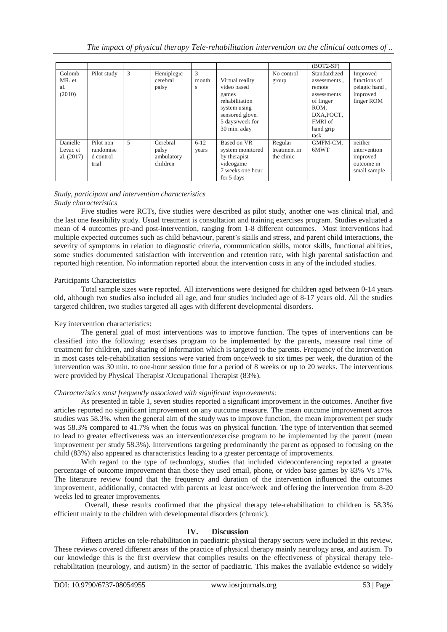|                                      |                                              |   |                                             |                   |                                                                                                                                 |                                       | $(BOT2-SF)$                                                                                                              |                                                                     |
|--------------------------------------|----------------------------------------------|---|---------------------------------------------|-------------------|---------------------------------------------------------------------------------------------------------------------------------|---------------------------------------|--------------------------------------------------------------------------------------------------------------------------|---------------------------------------------------------------------|
| Golomb<br>MR. et<br>al.<br>(2010)    | Pilot study                                  | 3 | Hemiplegic<br>cerebral<br>palsy             | 3<br>month<br>S   | Virtual reality<br>video based<br>games<br>rehabilitation<br>system using<br>sensored glove.<br>5 days/week for<br>30 min. aday | No control<br>group                   | Standardized<br>assessments,<br>remote<br>assessments<br>of finger<br>ROM.<br>DXA, POCT,<br>FMRI of<br>hand grip<br>task | Improved<br>functions of<br>pelagic hand,<br>improved<br>finger ROM |
| Danielle<br>Levac et<br>al. $(2017)$ | Pilot non<br>randomise<br>d control<br>trial | 5 | Cerebral<br>palsy<br>ambulatory<br>children | $6 - 12$<br>years | Based on VR<br>system monitored<br>by therapist<br>videogame<br>7 weeks one hour<br>for 5 days                                  | Regular<br>treatment in<br>the clinic | GMFM-CM,<br>6MWT                                                                                                         | neither<br>intervention<br>improved<br>outcome in<br>small sample   |

#### *Study, participant and intervention characteristics Study characteristics*

Five studies were RCTs, five studies were described as pilot study, another one was clinical trial, and the last one feasibility study. Usual treatment is consultation and training exercises program. Studies evaluated a mean of 4 outcomes pre-and post-intervention, ranging from 1-8 different outcomes. Most interventions had multiple expected outcomes such as child behaviour, parent's skills and stress, and parent child interactions, the severity of symptoms in relation to diagnostic criteria, communication skills, motor skills, functional abilities, some studies documented satisfaction with intervention and retention rate, with high parental satisfaction and reported high retention. No information reported about the intervention costs in any of the included studies.

## Participants Characteristics

Total sample sizes were reported. All interventions were designed for children aged between 0-14 years old, although two studies also included all age, and four studies included age of 8-17 years old. All the studies targeted children, two studies targeted all ages with different developmental disorders.

## Key intervention characteristics:

The general goal of most interventions was to improve function. The types of interventions can be classified into the following: exercises program to be implemented by the parents, measure real time of treatment for children, and sharing of information which is targeted to the parents. Frequency of the intervention in most cases tele-rehabilitation sessions were varied from once/week to six times per week, the duration of the intervention was 30 min. to one-hour session time for a period of 8 weeks or up to 20 weeks. The interventions were provided by Physical Therapist /Occupational Therapist (83%).

## *Characteristics most frequently associated with significant improvements:*

As presented in table 1, seven studies reported a significant improvement in the outcomes. Another five articles reported no significant improvement on any outcome measure. The mean outcome improvement across studies was 58.3%. when the general aim of the study was to improve function, the mean improvement per study was 58.3% compared to 41.7% when the focus was on physical function. The type of intervention that seemed to lead to greater effectiveness was an intervention/exercise program to be implemented by the parent (mean improvement per study 58.3%). Interventions targeting predominantly the parent as opposed to focusing on the child (83%) also appeared as characteristics leading to a greater percentage of improvements.

With regard to the type of technology, studies that included videoconferencing reported a greater percentage of outcome improvement than those they used email, phone, or video base games by 83% Vs 17%. The literature review found that the frequency and duration of the intervention influenced the outcomes improvement, additionally, contacted with parents at least once/week and offering the intervention from 8-20 weeks led to greater improvements.

Overall, these results confirmed that the physical therapy tele-rehabilitation to children is 58.3% efficient mainly to the children with developmental disorders (chronic).

## **IV. Discussion**

Fifteen articles on tele-rehabilitation in paediatric physical therapy sectors were included in this review. These reviews covered different areas of the practice of physical therapy mainly neurology area, and autism. To our knowledge this is the first overview that complies results on the effectiveness of physical therapy telerehabilitation (neurology, and autism) in the sector of paediatric. This makes the available evidence so widely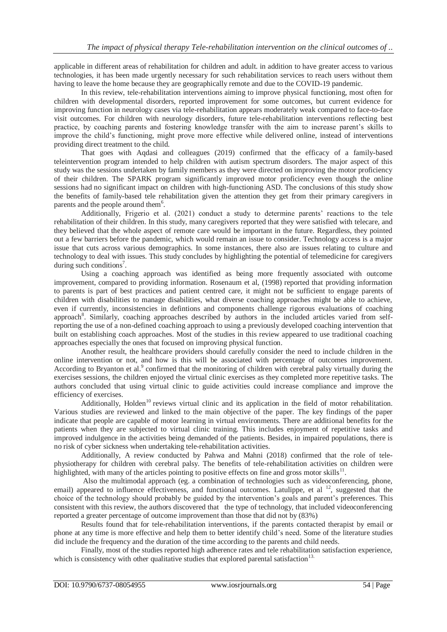applicable in different areas of rehabilitation for children and adult. in addition to have greater access to various technologies, it has been made urgently necessary for such rehabilitation services to reach users without them having to leave the home because they are geographically remote and due to the COVID-19 pandemic.

In this review, tele-rehabilitation interventions aiming to improve physical functioning, most often for children with developmental disorders, reported improvement for some outcomes, but current evidence for improving function in neurology cases via tele-rehabilitation appears moderately weak compared to face-to-face visit outcomes. For children with neurology disorders, future tele-rehabilitation interventions reflecting best practice, by coaching parents and fostering knowledge transfer with the aim to increase parent's skills to improve the child's functioning, might prove more effective while delivered online, instead of interventions providing direct treatment to the child.

That goes with Aqdasi and colleagues (2019) confirmed that the efficacy of a family-based teleintervention program intended to help children with autism spectrum disorders. The major aspect of this study was the sessions undertaken by family members as they were directed on improving the motor proficiency of their children. The SPARK program significantly improved motor proficiency even though the online sessions had no significant impact on children with high-functioning ASD. The conclusions of this study show the benefits of family-based tele rehabilitation given the attention they get from their primary caregivers in parents and the people around them<sup>6</sup>.

Additionally, Frigerio et al. (2021) conduct a study to determine parents' reactions to the tele rehabilitation of their children. In this study, many caregivers reported that they were satisfied with telecare, and they believed that the whole aspect of remote care would be important in the future. Regardless, they pointed out a few barriers before the pandemic, which would remain an issue to consider. Technology access is a major issue that cuts across various demographics. In some instances, there also are issues relating to culture and technology to deal with issues. This study concludes by highlighting the potential of telemedicine for caregivers during such conditions<sup>7</sup>.

Using a coaching approach was identified as being more frequently associated with outcome improvement, compared to providing information. Rosenaum et al, (1998) reported that providing information to parents is part of best practices and patient centred care, it might not be sufficient to engage parents of children with disabilities to manage disabilities, what diverse coaching approaches might be able to achieve, even if currently, inconsistencies in defintions and components challenge rigorous evaluations of coaching approach<sup>8</sup>. Similarly, coaching approaches described by authors in the included articles varied from selfreporting the use of a non-defined coaching approach to using a previously developed coaching intervention that built on establishing coach approaches. Most of the studies in this review appeared to use traditional coaching approaches especially the ones that focused on improving physical function.

Another result, the healthcare providers should carefully consider the need to include children in the online intervention or not, and how is this will be associated with percentage of outcomes improvement. According to Bryanton et al.<sup>9</sup> confirmed that the monitoring of children with cerebral palsy virtually during the exercises sessions, the children enjoyed the virtual clinic exercises as they completed more repetitive tasks. The authors concluded that using virtual clinic to guide activities could increase compliance and improve the efficiency of exercises.

Additionally, Holden<sup>10</sup> reviews virtual clinic and its application in the field of motor rehabilitation. Various studies are reviewed and linked to the main objective of the paper. The key findings of the paper indicate that people are capable of motor learning in virtual environments. There are additional benefits for the patients when they are subjected to virtual clinic training. This includes enjoyment of repetitive tasks and improved indulgence in the activities being demanded of the patients. Besides, in impaired populations, there is no risk of cyber sickness when undertaking tele-rehabilitation activities.

Additionally, A review conducted by Pahwa and Mahni (2018) confirmed that the role of telephysiotherapy for children with cerebral palsy. The benefits of tele-rehabilitation activities on children were highlighted, with many of the articles pointing to positive effects on fine and gross motor skills $^{11}$ .

Also the multimodal approach (eg. a combination of technologies such as videoconferencing, phone, email) appeared to influence effectiveness, and functional outcomes. Latulippe, et al <sup>12</sup>, suggested that the choice of the technology should probably be guided by the intervention's goals and parent's preferences. This consistent with this review, the authors discovered that the type of technology, that included videoconferencing reported a greater percentage of outcome improvement than those that did not by (83%)

Results found that for tele-rehabilitation interventions, if the parents contacted therapist by email or phone at any time is more effective and help them to better identify child's need. Some of the literature studies did include the frequency and the duration of the time according to the parents and child needs.

Finally, most of the studies reported high adherence rates and tele rehabilitation satisfaction experience, which is consistency with other qualitative studies that explored parental satisfaction<sup>13.</sup>